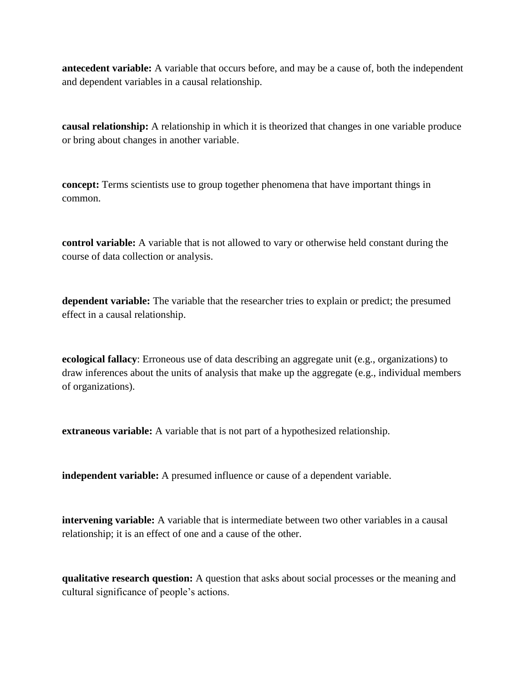**antecedent variable:** A variable that occurs before, and may be a cause of, both the independent and dependent variables in a causal relationship.

**causal relationship:** A relationship in which it is theorized that changes in one variable produce or bring about changes in another variable.

**concept:** Terms scientists use to group together phenomena that have important things in common.

**control variable:** A variable that is not allowed to vary or otherwise held constant during the course of data collection or analysis.

**dependent variable:** The variable that the researcher tries to explain or predict; the presumed effect in a causal relationship.

**ecological fallacy**: Erroneous use of data describing an aggregate unit (e.g., organizations) to draw inferences about the units of analysis that make up the aggregate (e.g., individual members of organizations).

**extraneous variable:** A variable that is not part of a hypothesized relationship.

**independent variable:** A presumed influence or cause of a dependent variable.

**intervening variable:** A variable that is intermediate between two other variables in a causal relationship; it is an effect of one and a cause of the other.

**qualitative research question:** A question that asks about social processes or the meaning and cultural significance of people's actions.